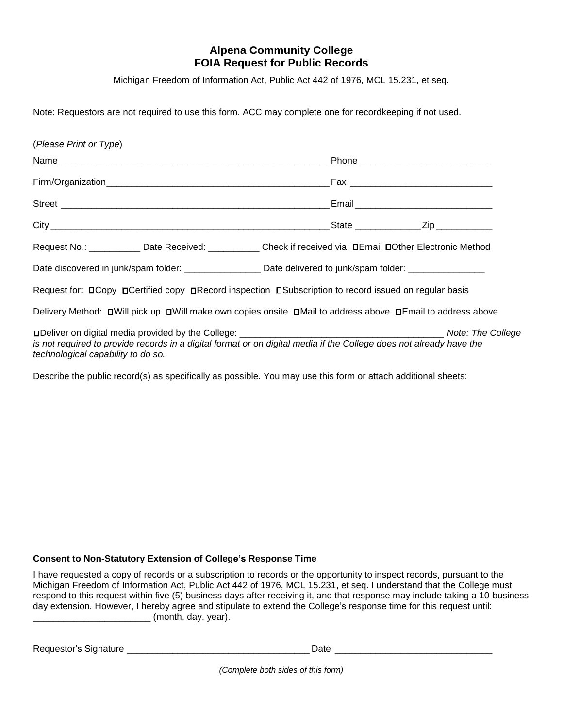## **Alpena Community College FOIA Request for Public Records**

Michigan Freedom of Information Act, Public Act 442 of 1976, MCL 15.231, et seq.

Note: Requestors are not required to use this form. ACC may complete one for recordkeeping if not used.

| (Please Print or Type)             |                                                                                                                     |  |
|------------------------------------|---------------------------------------------------------------------------------------------------------------------|--|
|                                    |                                                                                                                     |  |
|                                    |                                                                                                                     |  |
|                                    |                                                                                                                     |  |
|                                    |                                                                                                                     |  |
|                                    | Request No.: ___________ Date Received: ___________ Check if received via: □Email □Other Electronic Method          |  |
|                                    | Date discovered in junk/spam folder: ____________________Date delivered to junk/spam folder: ________________       |  |
|                                    | Request for: □ Copy □ Certified copy □ Record inspection □ Subscription to record issued on regular basis           |  |
|                                    | Delivery Method: DWill pick up DWill make own copies onsite DMail to address above DEmail to address above          |  |
| technological capability to do so. | is not required to provide records in a digital format or on digital media if the College does not already have the |  |
|                                    | Describe the public record(s) as specifically as possible. You may use this form or attach additional sheets:       |  |

## **Consent to Non-Statutory Extension of College's Response Time**

I have requested a copy of records or a subscription to records or the opportunity to inspect records, pursuant to the Michigan Freedom of Information Act, Public Act 442 of 1976, MCL 15.231, et seq. I understand that the College must respond to this request within five (5) business days after receiving it, and that response may include taking a 10-business day extension. However, I hereby agree and stipulate to extend the College's response time for this request until: \_\_\_\_\_\_\_\_\_\_\_\_\_\_\_\_\_\_\_\_\_\_\_ (month, day, year).

Requestor's Signature \_\_\_\_\_\_\_\_\_\_\_\_\_\_\_\_\_\_\_\_\_\_\_\_\_\_\_\_\_\_\_\_\_\_\_\_ Date \_\_\_\_\_\_\_\_\_\_\_\_\_\_\_\_\_\_\_\_\_\_\_\_\_\_\_\_\_\_\_

*(Complete both sides of this form)*